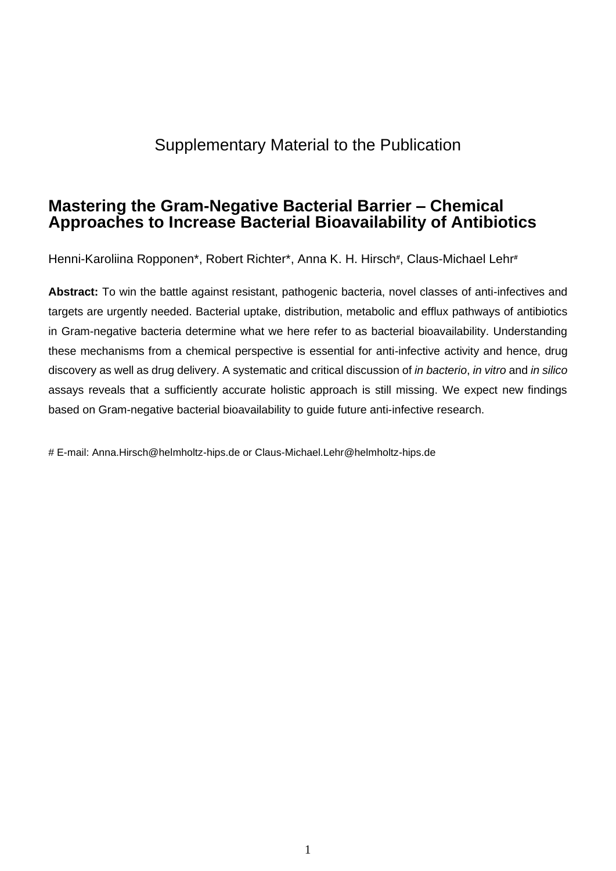# Supplementary Material to the Publication

## **Mastering the Gram-Negative Bacterial Barrier – Chemical Approaches to Increase Bacterial Bioavailability of Antibiotics**

Henni-Karoliina Ropponen\*, Robert Richter\*, Anna K. H. Hirsch**#** , Claus-Michael Lehr**#**

**Abstract:** To win the battle against resistant, pathogenic bacteria, novel classes of anti-infectives and targets are urgently needed. Bacterial uptake, distribution, metabolic and efflux pathways of antibiotics in Gram-negative bacteria determine what we here refer to as bacterial bioavailability. Understanding these mechanisms from a chemical perspective is essential for anti-infective activity and hence, drug discovery as well as drug delivery. A systematic and critical discussion of *in bacterio*, *in vitro* and *in silico*  assays reveals that a sufficiently accurate holistic approach is still missing. We expect new findings based on Gram-negative bacterial bioavailability to guide future anti-infective research.

# E-mail: [Anna.Hirsch@helmholtz-hips.de](mailto:Anna.Hirsch@helmholtz-hips.de) or Claus-Michael.Lehr@helmholtz-hips.de